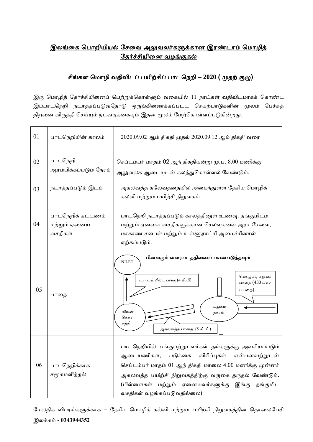## <u>இலங்கை பொறியியல் சேவை அலுவலர்களுக்கான இரண்டாம் மொழித்</u> தேர்ச்சியினை வழங்குதல்

## <u>் சிங்கள மொழி வதிவிடப் பயிற்சிப் பாடநெறி – 2020 ( முதற் குழு)</u>

இரு மொழித் தேர்ச்சியினைப் பெற்றுக்கொள்ளும் வகையில் 11 நாட்கள் வதிவிடமாகக் கொண்ட இப்பாடநெறி நடாத்தப்படுவதோடு ஒருங்கிணைக்கப்பட்ட செயற்பாடுகளின் மூலம் பேச்சுத் திறனை விருத்தி செய்யும் நடவடிக்கையும் இதன் மூலம் மேற்கொள்ளப்படுகின்றது.

| 01 | பாடநெறியின் காலம்                            | 2020.09.02 ஆம் திகதி முதல் 2020.09.12 ஆம் திகதி வரை                                                                                                                                                                                                                                                                  |  |  |  |
|----|----------------------------------------------|----------------------------------------------------------------------------------------------------------------------------------------------------------------------------------------------------------------------------------------------------------------------------------------------------------------------|--|--|--|
| 02 | பாடநெறி<br>ஆரம்பிக்கப்படும் நேரம்            | செப்டம்பர் மாதம் 02 ஆந் திகதியன்று மு.ப. 8.00 மணிக்கு<br>அலுவலக ஆடையுடன் கலந்துகொள்ளல் வேண்டும்.                                                                                                                                                                                                                     |  |  |  |
| 03 | நடாத்தப்படும் இடம்                           | அகலவத்த கலேவத்தையில் அமைந்துள்ள தேசிய மொழிக்<br>கல்வி மற்றும் பயிற்சி நிறுவகம்                                                                                                                                                                                                                                       |  |  |  |
| 04 | பாடநெறிக் கட்டணம்<br>மற்றும் ஏனைய<br>வசதிகள் | பாடநெறி நடாத்தப்படும் காலத்தினுள் உணவு, தங்குமிடம்<br>மற்றும் ஏனைய வசதிகளுக்கான செலவுகளை அரச சேவை,<br>மாகாண சபைள் மற்றும் உள்ளூராட்சி அமைச்சினால்<br>ஏற்கப்படும்.                                                                                                                                                    |  |  |  |
| 05 | பாதை                                         | பின்வரும் வரைபடத்தினைப் பயன்படுத்தவும்<br><b>NILET</b><br>கொழும்பு மதுகம<br>டார்டன்பீல்ட் பதை (4 கி.மி)<br>பாதை (430 பஸ்<br>பாதை)<br>மதுகம<br>லியன<br>நகரம்<br>கெதர<br>சந்தி<br>அகலவத்த பாதை  (5 கி.மி.)                                                                                                             |  |  |  |
| 06 | பாடநெறிக்காக<br>சமூகமளித்தல்                 | பாடநெறியில் பங்குபற்றுபவர்கள் தங்களுக்கு அவசியப்படும்<br>விரிப்புகள்<br>ஆடையணிகள்,<br>படுக்கை<br>என்பனவற்றுடன்<br>செப்டம்பர் மாதம் 01 ஆந் திகதி மாலை 4.00 மணிக்கு முன்னர்<br>அகலவத்த பயிற்சி நிறுவகத்திற்கு வருகை தருதல் வேண்டும்.<br>(பிள்ளைகள் மற்றும் ஏனையவர்களுக்கு இங்கு தங்குமிட<br>வசதிகள் வழங்கப்படுவதில்லை) |  |  |  |

மேலதிக விபரங்களுக்காக – தேசிய மொழிக் கல்வி மற்றும் பயிற்சி நிறுவகத்தின் தொலைபேசி இலக்ைம் - **0343944352**